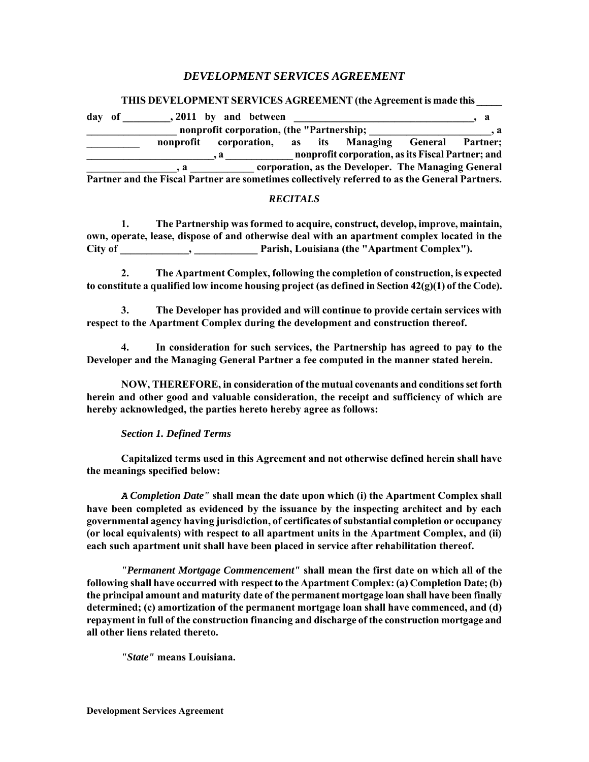# *DEVELOPMENT SERVICES AGREEMENT*

## **THIS DEVELOPMENT SERVICES AGREEMENT (the Agreement is made this \_\_\_\_\_**

| day of | , 2011 by and between                                                                          |              |                                           |  |                                                     |              |
|--------|------------------------------------------------------------------------------------------------|--------------|-------------------------------------------|--|-----------------------------------------------------|--------------|
|        |                                                                                                |              | nonprofit corporation, (the "Partnership; |  |                                                     | . . <b>a</b> |
|        | nonprofit                                                                                      |              |                                           |  | corporation, as its Managing General Partner;       |              |
|        |                                                                                                | $\mathbf{a}$ |                                           |  | nonprofit corporation, as its Fiscal Partner; and   |              |
|        | $\mathbf{a}$                                                                                   |              |                                           |  | corporation, as the Developer. The Managing General |              |
|        | Partner and the Fiscal Partner are sometimes collectively referred to as the General Partners. |              |                                           |  |                                                     |              |

## *RECITALS*

**1. The Partnership was formed to acquire, construct, develop, improve, maintain, own, operate, lease, dispose of and otherwise deal with an apartment complex located in the City of \_\_\_\_\_\_\_\_\_\_\_\_\_, \_\_\_\_\_\_\_\_\_\_\_\_ Parish, Louisiana (the "Apartment Complex").** 

**2. The Apartment Complex, following the completion of construction, is expected to constitute a qualified low income housing project (as defined in Section 42(g)(1) of the Code).** 

**3. The Developer has provided and will continue to provide certain services with respect to the Apartment Complex during the development and construction thereof.** 

**4. In consideration for such services, the Partnership has agreed to pay to the Developer and the Managing General Partner a fee computed in the manner stated herein.** 

**NOW, THEREFORE, in consideration of the mutual covenants and conditions set forth herein and other good and valuable consideration, the receipt and sufficiency of which are hereby acknowledged, the parties hereto hereby agree as follows:** 

## *Section 1. Defined Terms*

**Capitalized terms used in this Agreement and not otherwise defined herein shall have the meanings specified below:** 

*A Completion Date"* **shall mean the date upon which (i) the Apartment Complex shall have been completed as evidenced by the issuance by the inspecting architect and by each governmental agency having jurisdiction, of certificates of substantial completion or occupancy (or local equivalents) with respect to all apartment units in the Apartment Complex, and (ii) each such apartment unit shall have been placed in service after rehabilitation thereof.** 

*"Permanent Mortgage Commencement"* **shall mean the first date on which all of the following shall have occurred with respect to the Apartment Complex: (a) Completion Date; (b) the principal amount and maturity date of the permanent mortgage loan shall have been finally determined; (c) amortization of the permanent mortgage loan shall have commenced, and (d) repayment in full of the construction financing and discharge of the construction mortgage and all other liens related thereto.** 

*"State"* **means Louisiana.**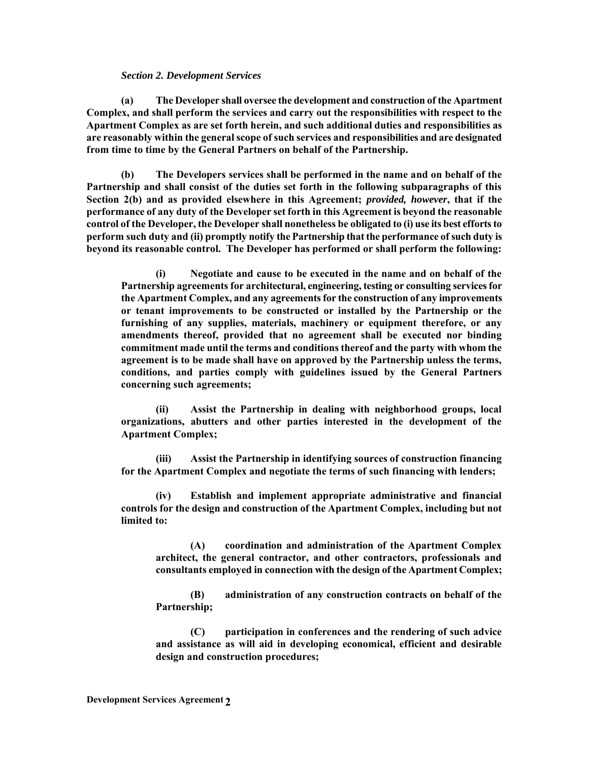## *Section 2. Development Services*

**(a) The Developer shall oversee the development and construction of the Apartment Complex, and shall perform the services and carry out the responsibilities with respect to the Apartment Complex as are set forth herein, and such additional duties and responsibilities as are reasonably within the general scope of such services and responsibilities and are designated from time to time by the General Partners on behalf of the Partnership.** 

**(b) The Developers services shall be performed in the name and on behalf of the Partnership and shall consist of the duties set forth in the following subparagraphs of this Section 2(b) and as provided elsewhere in this Agreement;** *provided, however***, that if the performance of any duty of the Developer set forth in this Agreement is beyond the reasonable control of the Developer, the Developer shall nonetheless be obligated to (i) use its best efforts to perform such duty and (ii) promptly notify the Partnership that the performance of such duty is beyond its reasonable control. The Developer has performed or shall perform the following:** 

**(i) Negotiate and cause to be executed in the name and on behalf of the Partnership agreements for architectural, engineering, testing or consulting services for the Apartment Complex, and any agreements for the construction of any improvements or tenant improvements to be constructed or installed by the Partnership or the furnishing of any supplies, materials, machinery or equipment therefore, or any amendments thereof, provided that no agreement shall be executed nor binding commitment made until the terms and conditions thereof and the party with whom the agreement is to be made shall have on approved by the Partnership unless the terms, conditions, and parties comply with guidelines issued by the General Partners concerning such agreements;** 

**(ii) Assist the Partnership in dealing with neighborhood groups, local organizations, abutters and other parties interested in the development of the Apartment Complex;** 

**(iii) Assist the Partnership in identifying sources of construction financing for the Apartment Complex and negotiate the terms of such financing with lenders;** 

**(iv) Establish and implement appropriate administrative and financial controls for the design and construction of the Apartment Complex, including but not limited to:** 

**(A) coordination and administration of the Apartment Complex architect, the general contractor, and other contractors, professionals and consultants employed in connection with the design of the Apartment Complex;** 

**(B) administration of any construction contracts on behalf of the Partnership;** 

**(C) participation in conferences and the rendering of such advice and assistance as will aid in developing economical, efficient and desirable design and construction procedures;**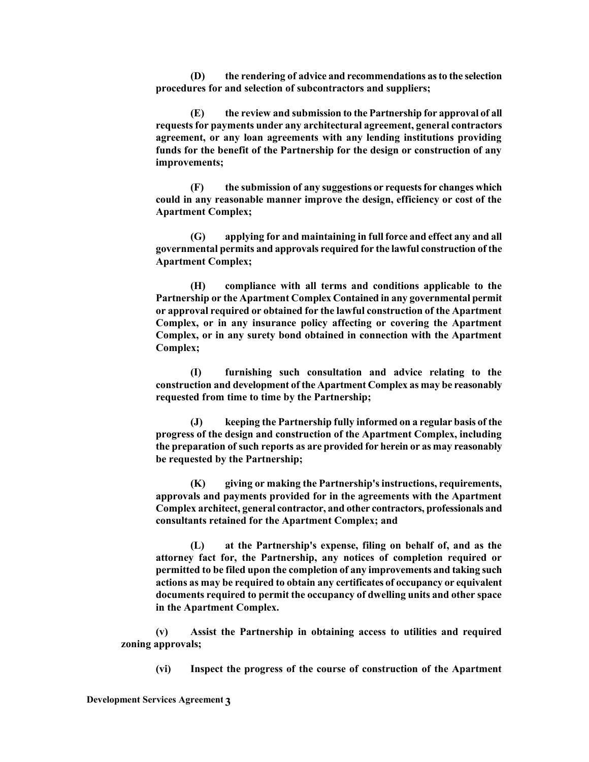**(D) the rendering of advice and recommendations as to the selection procedures for and selection of subcontractors and suppliers;** 

**(E) the review and submission to the Partnership for approval of all requests for payments under any architectural agreement, general contractors agreement, or any loan agreements with any lending institutions providing funds for the benefit of the Partnership for the design or construction of any improvements;** 

**(F) the submission of any suggestions or requests for changes which could in any reasonable manner improve the design, efficiency or cost of the Apartment Complex;** 

**(G) applying for and maintaining in full force and effect any and all governmental permits and approvals required for the lawful construction of the Apartment Complex;** 

**(H) compliance with all terms and conditions applicable to the Partnership or the Apartment Complex Contained in any governmental permit or approval required or obtained for the lawful construction of the Apartment Complex, or in any insurance policy affecting or covering the Apartment Complex, or in any surety bond obtained in connection with the Apartment Complex;** 

**(I) furnishing such consultation and advice relating to the construction and development of the Apartment Complex as may be reasonably requested from time to time by the Partnership;** 

**(J) keeping the Partnership fully informed on a regular basis of the progress of the design and construction of the Apartment Complex, including the preparation of such reports as are provided for herein or as may reasonably be requested by the Partnership;** 

**(K) giving or making the Partnership's instructions, requirements, approvals and payments provided for in the agreements with the Apartment Complex architect, general contractor, and other contractors, professionals and consultants retained for the Apartment Complex; and** 

**(L) at the Partnership's expense, filing on behalf of, and as the attorney fact for, the Partnership, any notices of completion required or permitted to be filed upon the completion of any improvements and taking such actions as may be required to obtain any certificates of occupancy or equivalent documents required to permit the occupancy of dwelling units and other space in the Apartment Complex.** 

**(v) Assist the Partnership in obtaining access to utilities and required zoning approvals;** 

**(vi) Inspect the progress of the course of construction of the Apartment**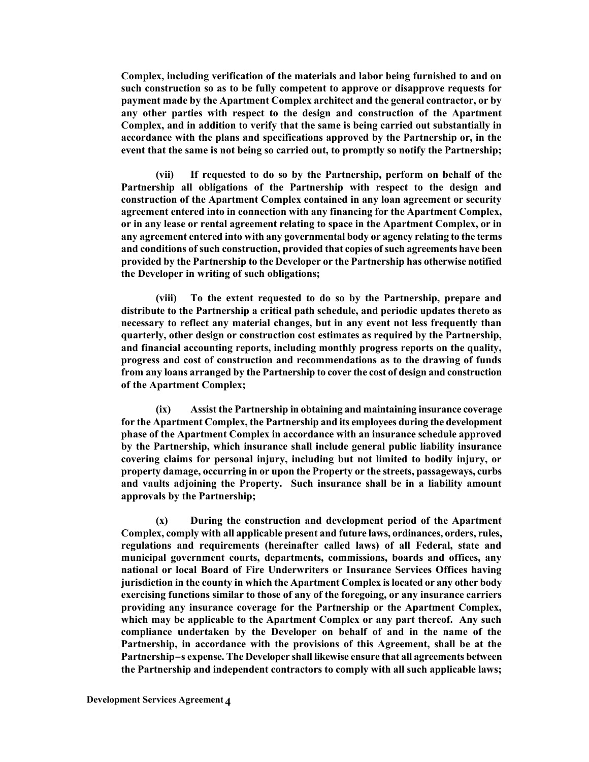**Complex, including verification of the materials and labor being furnished to and on such construction so as to be fully competent to approve or disapprove requests for payment made by the Apartment Complex architect and the general contractor, or by any other parties with respect to the design and construction of the Apartment Complex, and in addition to verify that the same is being carried out substantially in accordance with the plans and specifications approved by the Partnership or, in the event that the same is not being so carried out, to promptly so notify the Partnership;** 

**(vii) If requested to do so by the Partnership, perform on behalf of the Partnership all obligations of the Partnership with respect to the design and construction of the Apartment Complex contained in any loan agreement or security agreement entered into in connection with any financing for the Apartment Complex, or in any lease or rental agreement relating to space in the Apartment Complex, or in any agreement entered into with any governmental body or agency relating to the terms and conditions of such construction, provided that copies of such agreements have been provided by the Partnership to the Developer or the Partnership has otherwise notified the Developer in writing of such obligations;** 

**(viii) To the extent requested to do so by the Partnership, prepare and distribute to the Partnership a critical path schedule, and periodic updates thereto as necessary to reflect any material changes, but in any event not less frequently than quarterly, other design or construction cost estimates as required by the Partnership, and financial accounting reports, including monthly progress reports on the quality, progress and cost of construction and recommendations as to the drawing of funds from any loans arranged by the Partnership to cover the cost of design and construction of the Apartment Complex;** 

**(ix) Assist the Partnership in obtaining and maintaining insurance coverage for the Apartment Complex, the Partnership and its employees during the development phase of the Apartment Complex in accordance with an insurance schedule approved by the Partnership, which insurance shall include general public liability insurance covering claims for personal injury, including but not limited to bodily injury, or property damage, occurring in or upon the Property or the streets, passageways, curbs and vaults adjoining the Property. Such insurance shall be in a liability amount approvals by the Partnership;** 

**(x) During the construction and development period of the Apartment Complex, comply with all applicable present and future laws, ordinances, orders, rules, regulations and requirements (hereinafter called laws) of all Federal, state and municipal government courts, departments, commissions, boards and offices, any national or local Board of Fire Underwriters or Insurance Services Offices having jurisdiction in the county in which the Apartment Complex is located or any other body exercising functions similar to those of any of the foregoing, or any insurance carriers providing any insurance coverage for the Partnership or the Apartment Complex, which may be applicable to the Apartment Complex or any part thereof. Any such compliance undertaken by the Developer on behalf of and in the name of the Partnership, in accordance with the provisions of this Agreement, shall be at the Partnership**=**s expense. The Developer shall likewise ensure that all agreements between the Partnership and independent contractors to comply with all such applicable laws;**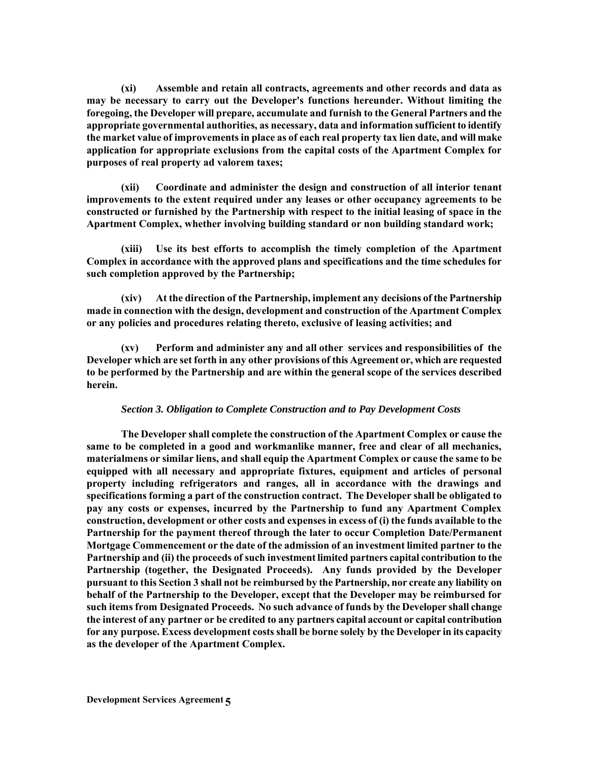**(xi) Assemble and retain all contracts, agreements and other records and data as may be necessary to carry out the Developer's functions hereunder. Without limiting the foregoing, the Developer will prepare, accumulate and furnish to the General Partners and the appropriate governmental authorities, as necessary, data and information sufficient to identify the market value of improvements in place as of each real property tax lien date, and will make application for appropriate exclusions from the capital costs of the Apartment Complex for purposes of real property ad valorem taxes;** 

**(xii) Coordinate and administer the design and construction of all interior tenant improvements to the extent required under any leases or other occupancy agreements to be constructed or furnished by the Partnership with respect to the initial leasing of space in the Apartment Complex, whether involving building standard or non building standard work;** 

**(xiii) Use its best efforts to accomplish the timely completion of the Apartment Complex in accordance with the approved plans and specifications and the time schedules for such completion approved by the Partnership;** 

**(xiv) At the direction of the Partnership, implement any decisions of the Partnership made in connection with the design, development and construction of the Apartment Complex or any policies and procedures relating thereto, exclusive of leasing activities; and** 

**(xv) Perform and administer any and all other services and responsibilities of the Developer which are set forth in any other provisions of this Agreement or, which are requested to be performed by the Partnership and are within the general scope of the services described herein.** 

### *Section 3. Obligation to Complete Construction and to Pay Development Costs*

**The Developer shall complete the construction of the Apartment Complex or cause the same to be completed in a good and workmanlike manner, free and clear of all mechanics, materialmens or similar liens, and shall equip the Apartment Complex or cause the same to be equipped with all necessary and appropriate fixtures, equipment and articles of personal property including refrigerators and ranges, all in accordance with the drawings and specifications forming a part of the construction contract. The Developer shall be obligated to pay any costs or expenses, incurred by the Partnership to fund any Apartment Complex construction, development or other costs and expenses in excess of (i) the funds available to the Partnership for the payment thereof through the later to occur Completion Date/Permanent Mortgage Commencement or the date of the admission of an investment limited partner to the Partnership and (ii) the proceeds of such investment limited partners capital contribution to the Partnership (together, the Designated Proceeds). Any funds provided by the Developer pursuant to this Section 3 shall not be reimbursed by the Partnership, nor create any liability on behalf of the Partnership to the Developer, except that the Developer may be reimbursed for such items from Designated Proceeds. No such advance of funds by the Developer shall change the interest of any partner or be credited to any partners capital account or capital contribution for any purpose. Excess development costs shall be borne solely by the Developer in its capacity as the developer of the Apartment Complex.**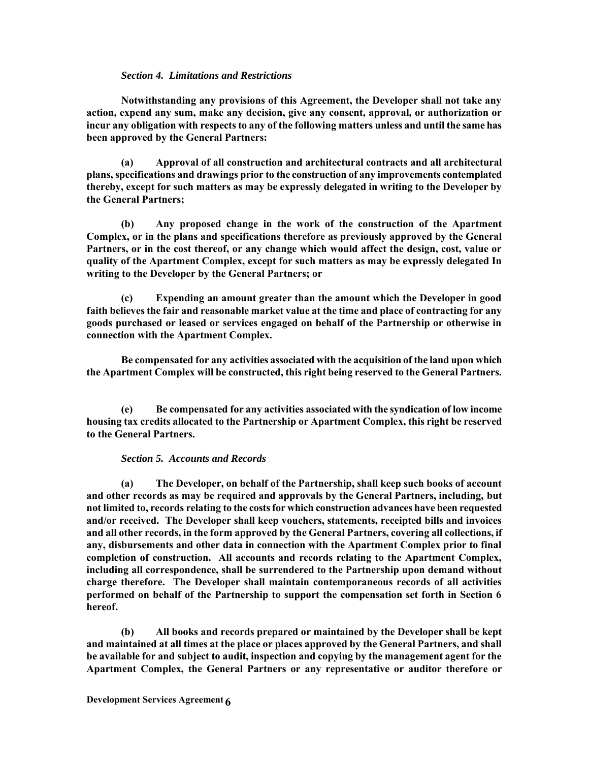## *Section 4. Limitations and Restrictions*

**Notwithstanding any provisions of this Agreement, the Developer shall not take any action, expend any sum, make any decision, give any consent, approval, or authorization or incur any obligation with respects to any of the following matters unless and until the same has been approved by the General Partners:** 

**(a) Approval of all construction and architectural contracts and all architectural plans, specifications and drawings prior to the construction of any improvements contemplated thereby, except for such matters as may be expressly delegated in writing to the Developer by the General Partners;** 

**(b) Any proposed change in the work of the construction of the Apartment Complex, or in the plans and specifications therefore as previously approved by the General Partners, or in the cost thereof, or any change which would affect the design, cost, value or quality of the Apartment Complex, except for such matters as may be expressly delegated In writing to the Developer by the General Partners; or** 

**(c) Expending an amount greater than the amount which the Developer in good faith believes the fair and reasonable market value at the time and place of contracting for any goods purchased or leased or services engaged on behalf of the Partnership or otherwise in connection with the Apartment Complex.** 

**Be compensated for any activities associated with the acquisition of the land upon which the Apartment Complex will be constructed, this right being reserved to the General Partners.**

**(e) Be compensated for any activities associated with the syndication of low income housing tax credits allocated to the Partnership or Apartment Complex, this right be reserved to the General Partners.** 

# *Section 5. Accounts and Records*

**(a) The Developer, on behalf of the Partnership, shall keep such books of account and other records as may be required and approvals by the General Partners, including, but not limited to, records relating to the costs for which construction advances have been requested and/or received. The Developer shall keep vouchers, statements, receipted bills and invoices and all other records, in the form approved by the General Partners, covering all collections, if any, disbursements and other data in connection with the Apartment Complex prior to final completion of construction. All accounts and records relating to the Apartment Complex, including all correspondence, shall be surrendered to the Partnership upon demand without charge therefore. The Developer shall maintain contemporaneous records of all activities performed on behalf of the Partnership to support the compensation set forth in Section 6 hereof.** 

**(b) All books and records prepared or maintained by the Developer shall be kept and maintained at all times at the place or places approved by the General Partners, and shall be available for and subject to audit, inspection and copying by the management agent for the Apartment Complex, the General Partners or any representative or auditor therefore or**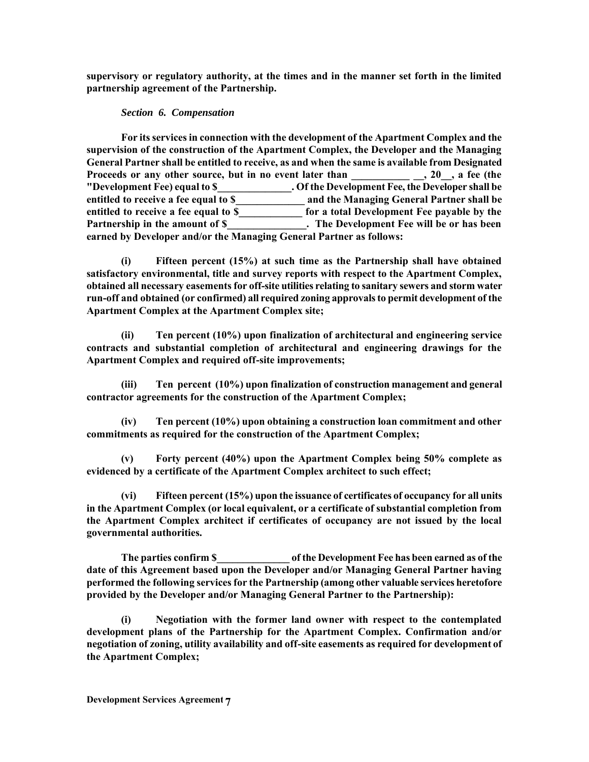**supervisory or regulatory authority, at the times and in the manner set forth in the limited partnership agreement of the Partnership.** 

# *Section 6. Compensation*

**For its services in connection with the development of the Apartment Complex and the supervision of the construction of the Apartment Complex, the Developer and the Managing General Partner shall be entitled to receive, as and when the same is available from Designated**  Proceeds or any other source, but in no event later than \_\_\_\_\_\_\_\_\_\_\_\_\_, 20\_, a fee (the **"Development Fee) equal to \$\_\_\_\_\_\_\_\_\_\_\_\_\_\_. Of the Development Fee, the Developer shall be entitled to receive a fee equal to \$\_\_\_\_\_\_\_\_\_\_\_\_\_ and the Managing General Partner shall be entitled to receive a fee equal to \$\_\_\_\_\_\_\_\_\_\_\_\_ for a total Development Fee payable by the Partnership in the amount of \$\_\_\_\_\_\_\_\_\_\_\_\_\_\_\_. The Development Fee will be or has been earned by Developer and/or the Managing General Partner as follows:** 

**(i) Fifteen percent (15%) at such time as the Partnership shall have obtained satisfactory environmental, title and survey reports with respect to the Apartment Complex, obtained all necessary easements for off-site utilities relating to sanitary sewers and storm water run-off and obtained (or confirmed) all required zoning approvals to permit development of the Apartment Complex at the Apartment Complex site;** 

**(ii) Ten percent (10%) upon finalization of architectural and engineering service contracts and substantial completion of architectural and engineering drawings for the Apartment Complex and required off-site improvements;** 

**(iii) Ten percent (10%) upon finalization of construction management and general contractor agreements for the construction of the Apartment Complex;** 

**(iv) Ten percent (10%) upon obtaining a construction loan commitment and other commitments as required for the construction of the Apartment Complex;** 

**(v) Forty percent (40%) upon the Apartment Complex being 50% complete as evidenced by a certificate of the Apartment Complex architect to such effect;** 

**(vi) Fifteen percent (15%) upon the issuance of certificates of occupancy for all units in the Apartment Complex (or local equivalent, or a certificate of substantial completion from the Apartment Complex architect if certificates of occupancy are not issued by the local governmental authorities.** 

**The parties confirm \$\_\_\_\_\_\_\_\_\_\_\_\_\_\_ of the Development Fee has been earned as of the date of this Agreement based upon the Developer and/or Managing General Partner having performed the following services for the Partnership (among other valuable services heretofore provided by the Developer and/or Managing General Partner to the Partnership):** 

**(i) Negotiation with the former land owner with respect to the contemplated development plans of the Partnership for the Apartment Complex. Confirmation and/or negotiation of zoning, utility availability and off-site easements as required for development of the Apartment Complex;**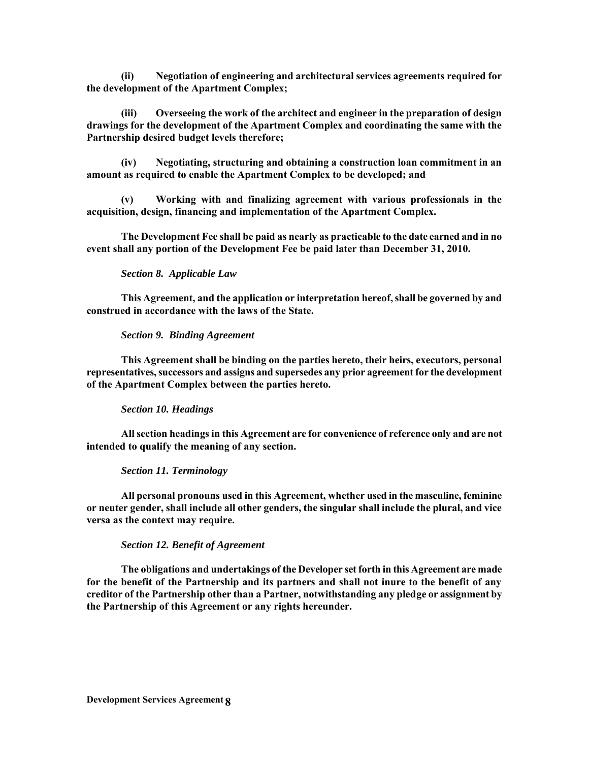**(ii) Negotiation of engineering and architectural services agreements required for the development of the Apartment Complex;** 

**(iii) Overseeing the work of the architect and engineer in the preparation of design drawings for the development of the Apartment Complex and coordinating the same with the Partnership desired budget levels therefore;** 

**(iv) Negotiating, structuring and obtaining a construction loan commitment in an amount as required to enable the Apartment Complex to be developed; and** 

**(v) Working with and finalizing agreement with various professionals in the acquisition, design, financing and implementation of the Apartment Complex.** 

**The Development Fee shall be paid as nearly as practicable to the date earned and in no event shall any portion of the Development Fee be paid later than December 31, 2010.** 

### *Section 8. Applicable Law*

**This Agreement, and the application or interpretation hereof, shall be governed by and construed in accordance with the laws of the State.** 

#### *Section 9. Binding Agreement*

**This Agreement shall be binding on the parties hereto, their heirs, executors, personal representatives, successors and assigns and supersedes any prior agreement for the development of the Apartment Complex between the parties hereto.** 

## *Section 10. Headings*

**All section headings in this Agreement are for convenience of reference only and are not intended to qualify the meaning of any section.** 

### *Section 11. Terminology*

**All personal pronouns used in this Agreement, whether used in the masculine, feminine or neuter gender, shall include all other genders, the singular shall include the plural, and vice versa as the context may require.** 

## *Section 12. Benefit of Agreement*

**The obligations and undertakings of the Developer set forth in this Agreement are made for the benefit of the Partnership and its partners and shall not inure to the benefit of any creditor of the Partnership other than a Partner, notwithstanding any pledge or assignment by the Partnership of this Agreement or any rights hereunder.**